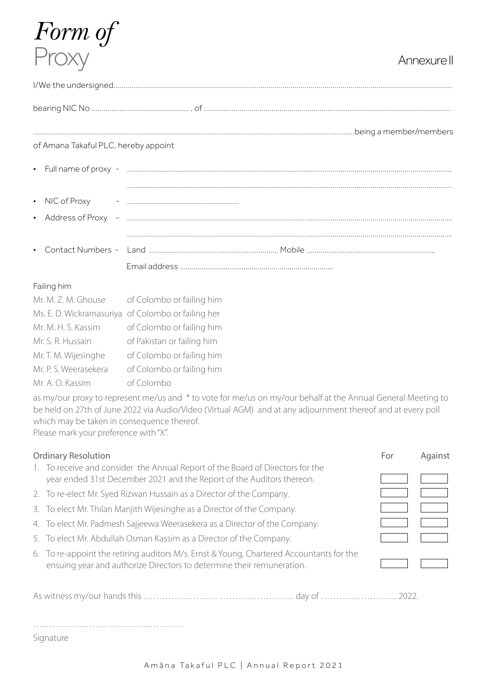# *Form of* Proxy Annexure II

| of Amana Takaful PLC, hereby appoint |  |  |  |  |  |  |
|--------------------------------------|--|--|--|--|--|--|
|                                      |  |  |  |  |  |  |
|                                      |  |  |  |  |  |  |
|                                      |  |  |  |  |  |  |
|                                      |  |  |  |  |  |  |
|                                      |  |  |  |  |  |  |
|                                      |  |  |  |  |  |  |
|                                      |  |  |  |  |  |  |
|                                      |  |  |  |  |  |  |

### Failing him

| Mr. M. Z. M. Ghouse   | of Colombo or failing him                          |
|-----------------------|----------------------------------------------------|
|                       | Ms. E. D. Wickramasuriya of Colombo or failing her |
| Mr. M. H. S. Kassim   | of Colombo or failing him                          |
| Mr. S. R. Hussain     | of Pakistan or failing him                         |
| Mr. T. M. Wijesinghe  | of Colombo or failing him                          |
| Mr. P. S. Weerasekera | of Colombo or failing him                          |
| Mr. A. O. Kassim      | of Colombo                                         |

as my/our proxy to represent me/us and \* to vote for me/us on my/our behalf at the Annual General Meeting to be held on 27th of June 2022 via Audio/Video (Virtual AGM) and at any adjournment thereof and at every poll which may be taken in consequence thereof. Please mark your preference with "X".

| <b>Ordinary Resolution</b> |                                                                                                                                                                   |  | Against |
|----------------------------|-------------------------------------------------------------------------------------------------------------------------------------------------------------------|--|---------|
|                            | 1. To receive and consider the Annual Report of the Board of Directors for the<br>year ended 31st December 2021 and the Report of the Auditors thereon.           |  |         |
|                            | 2. To re-elect Mr. Syed Rizwan Hussain as a Director of the Company.                                                                                              |  |         |
|                            | 3. To elect Mr. Thilan Manjith Wijesinghe as a Director of the Company.                                                                                           |  |         |
|                            | 4. To elect Mr. Padmesh Sajjeewa Weerasekera as a Director of the Company.                                                                                        |  |         |
|                            | 5. To elect Mr. Abdullah Osman Kassim as a Director of the Company.                                                                                               |  |         |
|                            | 6. To re-appoint the retiring auditors M/s. Ernst & Young, Chartered Accountants for the<br>ensuing year and authorize Directors to determine their remuneration. |  |         |

As witness my/our hands this …………………… …………………… day of ……………………. 2022.

…………………… ……………………

Signature